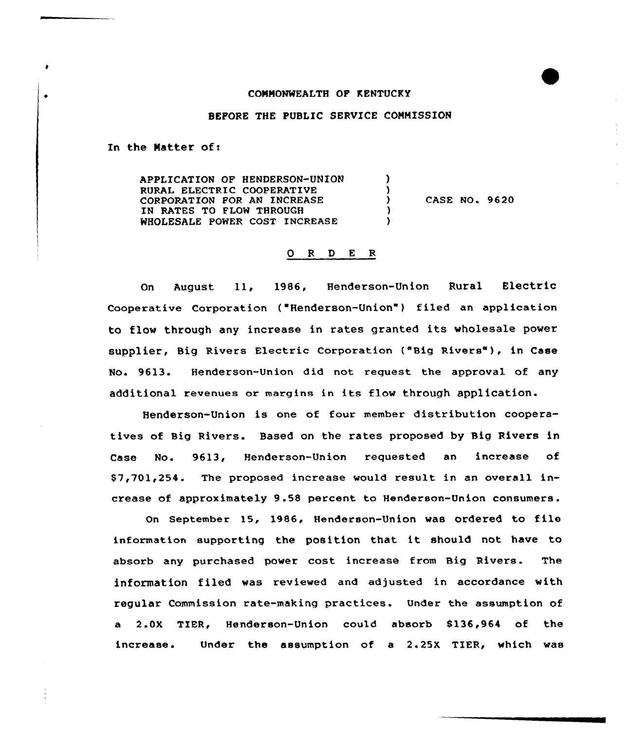## COMMONWEALTH OF KENTUCKY

## BEFORE THE PUBLIC SERVICE COMMISSION

In the Matter of:

٠

APPLICATION OF HENDERSON-UNION  $\lambda$ RURAL ELECTRIC COOPERATIVE CORPORATION FOR AN INCREASE CASE NO. 9620  $\mathcal{F}$ IN RATES TO FLON THROUGH WHOLESALE POWER COST INCREASE <sup>1</sup>

## 0 <sup>R</sup> <sup>D</sup> E R

On August ll, 1986, Henderson-Union Rural Electric Cooperative Corporation ("Henderson-Union" ) filed an application to flow through any increase in rates granted its wholesale power supplier, Big Rivers Electric Corporation ("Big Rivers" ), in Case No. 9613. Henderson-Union did not request the approval of any additional revenues or margins in its flow through application.

Henderson-Union is one of four member distribution cooperatives of Big Rivers. Based on the rates proposed by Big Rivers in Case No. 9613, Henderson-Union requested an increase of \$ 7,701,254. The proposed increase would result in an overall increase of approximately 9.58 percent to Henderson-Union consumers.

On September 15, 1986, Henderson-Union was ordered to file information supporting the position that it should not have to absorb any purchased power cost increase from Big Rivers. The information filed was reviewed and adjusted in accordance with regular Commission rate-making practices. Under the assumption of a 2.0X TIER, Henderson-Union could absorb 8136,964 of the increase. Under the assumption of a 2.25X TIER, which was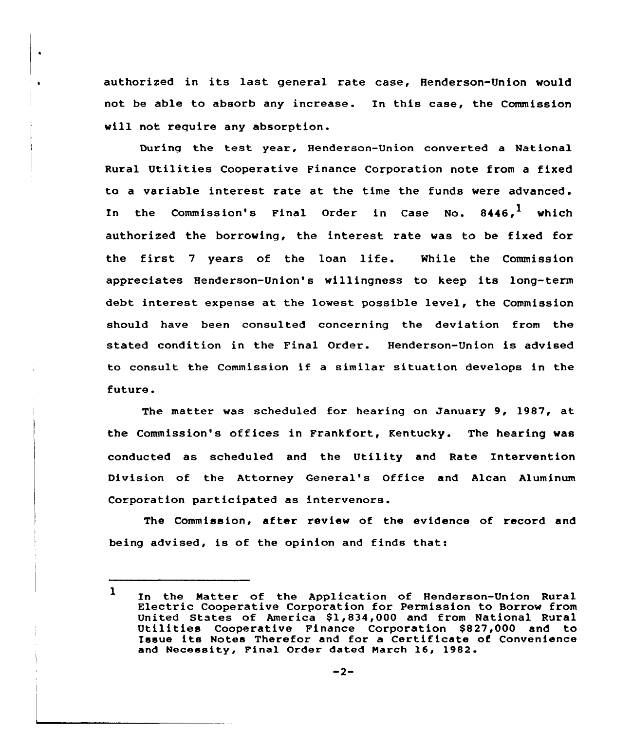authorized in its last general rate case, Henderson-Union would not be able to absorb any increase. In this case, the Commission will not require any absorption.

 $\bullet$ 

During the test year, Henderson-Union converted <sup>a</sup> National Rural Utilities Cooperative Finance Corporation note from a fixed to a variable interest rate at the time the funds were advanced. In the Commission's Final Order in Case No. 8446,<sup>1</sup> which authorized the borrowing, the interest rate was to be fixed for the first <sup>7</sup> yeaxs of the loan life. While the Commission appreciates Henderson-Union's willingness to keep its long-term debt intexest expense at the lowest possible level, the Commission should have been consulted concexning the deviation from the stated condition in the Final Order. Hendexson-Union is advised to consult the Commission if <sup>a</sup> similar situation develops in the future.

The matter was scheduled for hearing on January 9, 1987, at the Commission's offices in Frankfort, Kentucky. The hearing was conducted as scheduled and the Utility and Rate Intervention Division of the Attorney General's Office and Alcan Aluminum Corporation participated as intervenors.

The Commission, after review of the evidence of record and being advised, is of the opinion and finds that:

<sup>1</sup> In the Matter of the Application of Henderson-Union Rural Electric Cooperative Corporation for Permission to Borrow from Utilities Cooperative Finance Corporation \$827,000 and to Issue its Notes Therefor and for <sup>a</sup> Certificate of Convenience and Necessity, Final Order dated March 16, 1982.